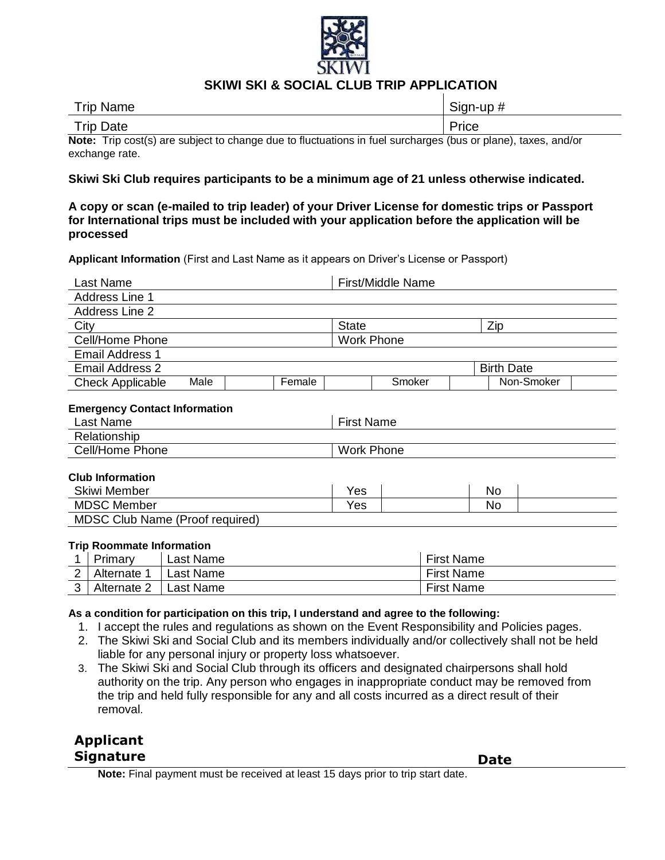

# **SKIWI SKI & SOCIAL CLUB TRIP APPLICATION**

| <b>Trip Name</b>                                                                                                 | Sign-up # |
|------------------------------------------------------------------------------------------------------------------|-----------|
| <b>Trip Date</b>                                                                                                 | Price     |
| $M$ ota: Trin coet(e) are subject to change due to fluctuations in fuel surcharges (bus or plane), taxes, and/or |           |

**Note:** Trip cost(s) are subject to change due to fluctuations in fuel surcharges (bus or plane), taxes, and/or exchange rate.

## **Skiwi Ski Club requires participants to be a minimum age of 21 unless otherwise indicated.**

## **A copy or scan (e-mailed to trip leader) of your Driver License for domestic trips or Passport for International trips must be included with your application before the application will be processed**

**Applicant Information** (First and Last Name as it appears on Driver's License or Passport)

| Last Name                                                                                                                                                                                 |                  |  |              | First/Middle Name |                   |                   |    |            |  |  |
|-------------------------------------------------------------------------------------------------------------------------------------------------------------------------------------------|------------------|--|--------------|-------------------|-------------------|-------------------|----|------------|--|--|
| <b>Address Line 1</b>                                                                                                                                                                     |                  |  |              |                   |                   |                   |    |            |  |  |
| <b>Address Line 2</b>                                                                                                                                                                     |                  |  |              |                   |                   |                   |    |            |  |  |
| City                                                                                                                                                                                      |                  |  | <b>State</b> |                   |                   | Zip               |    |            |  |  |
| Cell/Home Phone                                                                                                                                                                           |                  |  |              | <b>Work Phone</b> |                   |                   |    |            |  |  |
| <b>Email Address 1</b>                                                                                                                                                                    |                  |  |              |                   |                   |                   |    |            |  |  |
| <b>Email Address 2</b>                                                                                                                                                                    |                  |  |              | <b>Birth Date</b> |                   |                   |    |            |  |  |
| <b>Check Applicable</b>                                                                                                                                                                   | Male             |  | Female       |                   | Smoker            |                   |    | Non-Smoker |  |  |
|                                                                                                                                                                                           |                  |  |              |                   |                   |                   |    |            |  |  |
| <b>Emergency Contact Information</b>                                                                                                                                                      |                  |  |              |                   |                   |                   |    |            |  |  |
| Last Name                                                                                                                                                                                 |                  |  |              |                   | <b>First Name</b> |                   |    |            |  |  |
| Relationship                                                                                                                                                                              |                  |  |              |                   | <b>Work Phone</b> |                   |    |            |  |  |
|                                                                                                                                                                                           | Cell/Home Phone  |  |              |                   |                   |                   |    |            |  |  |
| <b>Club Information</b>                                                                                                                                                                   |                  |  |              |                   |                   |                   |    |            |  |  |
| <b>Skiwi Member</b>                                                                                                                                                                       |                  |  |              | Yes               |                   |                   | No |            |  |  |
| <b>MDSC Member</b>                                                                                                                                                                        |                  |  |              | Yes               |                   |                   | No |            |  |  |
| MDSC Club Name (Proof required)                                                                                                                                                           |                  |  |              |                   |                   |                   |    |            |  |  |
|                                                                                                                                                                                           |                  |  |              |                   |                   |                   |    |            |  |  |
| <b>Trip Roommate Information</b>                                                                                                                                                          |                  |  |              |                   |                   |                   |    |            |  |  |
| Primary<br>1                                                                                                                                                                              | <b>Last Name</b> |  |              | <b>First Name</b> |                   |                   |    |            |  |  |
| $\overline{2}$<br>Alternate 1                                                                                                                                                             | Last Name        |  |              |                   |                   | <b>First Name</b> |    |            |  |  |
| 3<br>Alternate 2                                                                                                                                                                          | Last Name        |  |              |                   |                   | <b>First Name</b> |    |            |  |  |
| As a condition for participation on this trip, I understand and agree to the following:<br>1. I accept the rules and regulations as shown on the Event Responsibility and Policies pages. |                  |  |              |                   |                   |                   |    |            |  |  |

- 2. The Skiwi Ski and Social Club and its members individually and/or collectively shall not be held liable for any personal injury or property loss whatsoever.
- 3. The Skiwi Ski and Social Club through its officers and designated chairpersons shall hold authority on the trip. Any person who engages in inappropriate conduct may be removed from the trip and held fully responsible for any and all costs incurred as a direct result of their removal.

**Applicant Signature Date** 

**Note:** Final payment must be received at least 15 days prior to trip start date.